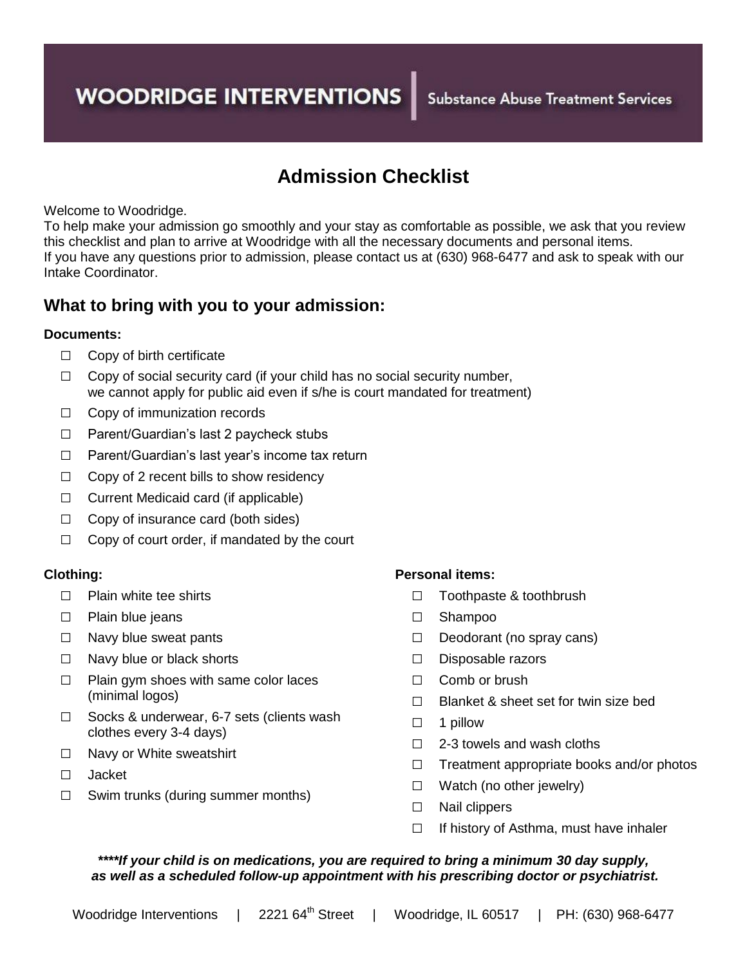# **Admission Checklist**

Welcome to Woodridge.

To help make your admission go smoothly and your stay as comfortable as possible, we ask that you review this checklist and plan to arrive at Woodridge with all the necessary documents and personal items. If you have any questions prior to admission, please contact us at (630) 968-6477 and ask to speak with our Intake Coordinator.

### **What to bring with you to your admission:**

#### **Documents:**

- □ Copy of birth certificate
- $\Box$  Copy of social security card (if your child has no social security number, we cannot apply for public aid even if s/he is court mandated for treatment)
- $\Box$  Copy of immunization records
- □ Parent/Guardian's last 2 paycheck stubs
- □ Parent/Guardian's last year's income tax return
- $\Box$  Copy of 2 recent bills to show residency
- □ Current Medicaid card (if applicable)
- □ Copy of insurance card (both sides)
- $\Box$  Copy of court order, if mandated by the court

#### **Clothing:**

- □ Plain white tee shirts
- □ Plain blue jeans
- □ Navy blue sweat pants
- □ Navy blue or black shorts
- $\Box$  Plain gym shoes with same color laces (minimal logos)
- □ Socks & underwear, 6-7 sets (clients wash clothes every 3-4 days)
- □ Navy or White sweatshirt
- □ Jacket
- $\Box$  Swim trunks (during summer months)

#### **Personal items:**

- □ Toothpaste & toothbrush
- □ Shampoo
- □ Deodorant (no spray cans)
- □ Disposable razors
- □ Comb or brush
- □ Blanket & sheet set for twin size bed
- □ 1 pillow
- □ 2-3 towels and wash cloths
- □ Treatment appropriate books and/or photos
- □ Watch (no other jewelry)
- □ Nail clippers
- $\Box$  If history of Asthma, must have inhaler

#### *\*\*\*\*If your child is on medications, you are required to bring a minimum 30 day supply, as well as a scheduled follow-up appointment with his prescribing doctor or psychiatrist.*